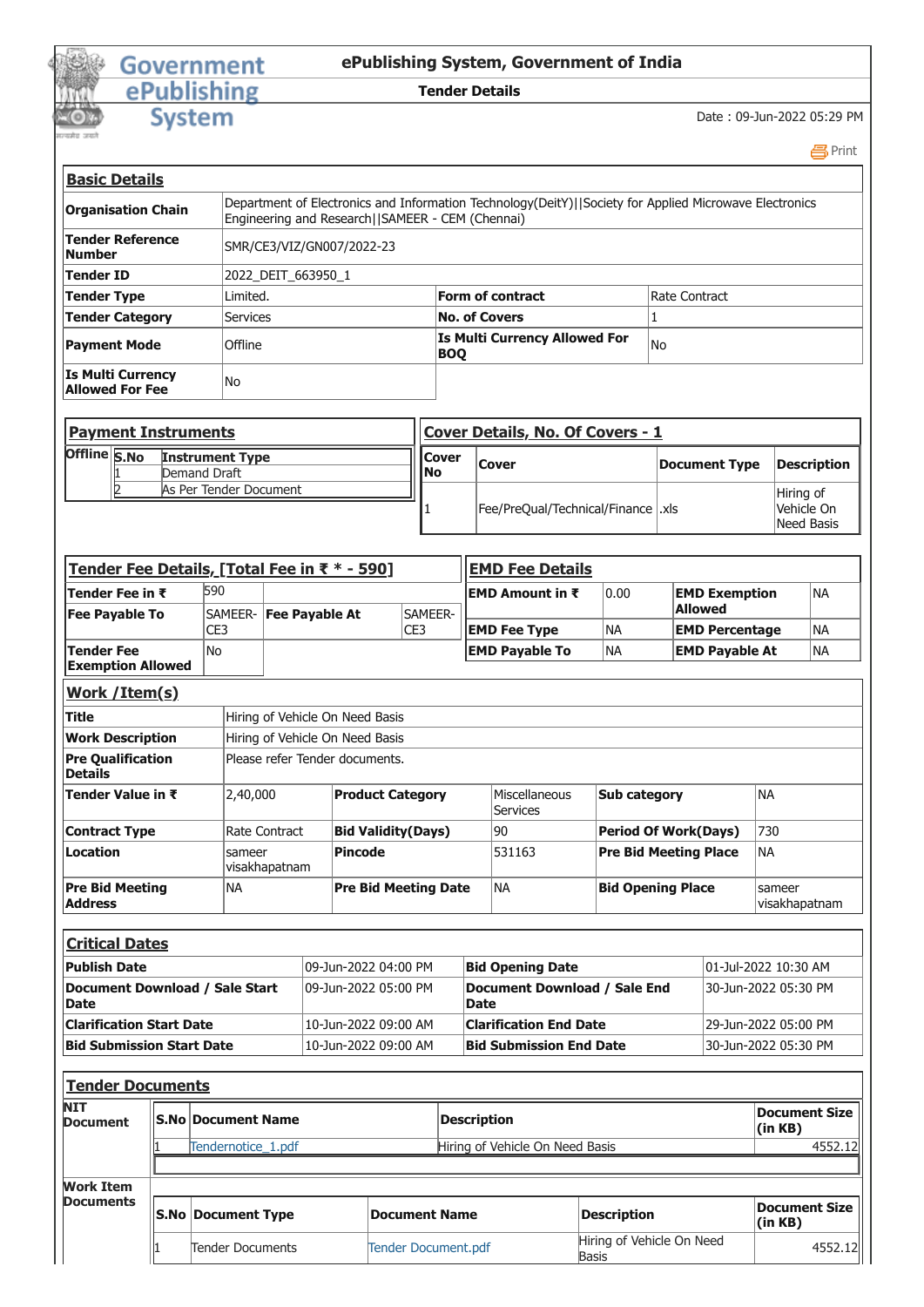## Government<br>
ePublishing

## **ePublishing System, Government of India**

## **Tender Details**

**System** 

Date : 09-Jun-2022 05:29 PM

 [Print](javascript:void(0);)

| <b>Basic Details</b>                               |                                                   |                                                                                                        |               |
|----------------------------------------------------|---------------------------------------------------|--------------------------------------------------------------------------------------------------------|---------------|
| <b>Organisation Chain</b>                          | Engineering and Research   SAMEER - CEM (Chennai) | Department of Electronics and Information Technology(DeitY)  Society for Applied Microwave Electronics |               |
| Tender Reference<br>lNumber                        | SMR/CE3/VIZ/GN007/2022-23                         |                                                                                                        |               |
| Tender ID                                          | 2022 DEIT 663950 1                                |                                                                                                        |               |
| <b>Tender Type</b>                                 | Limited.                                          | Form of contract                                                                                       | Rate Contract |
| <b>Tender Category</b>                             | <b>Services</b>                                   | <b>No. of Covers</b>                                                                                   |               |
| <b>Payment Mode</b>                                | Offline                                           | <b>Is Multi Currency Allowed For</b><br>BOO                                                            | lNo           |
| <b>Is Multi Currency</b><br><b>Allowed For Fee</b> | No                                                |                                                                                                        |               |

|              | <b>Payment Instruments</b>             |                      | Cover Details, No. Of Covers - 1    |               |                                       |
|--------------|----------------------------------------|----------------------|-------------------------------------|---------------|---------------------------------------|
| Offline S.No | <b>Instrument Type</b><br>Demand Draft | <b>ICover</b><br>lNo | <b>Cover</b>                        | Document Type | Description                           |
|              | As Per Tender Document                 |                      | Fee/PreQual/Technical/Finance   xls |               | Hiring of<br>Vehicle On<br>Need Basis |

| Tender Fee Details, [Total Fee in ₹ * - 590]  |                           |               |                                 |                             |                    | <b>EMD Fee Details</b>              |                                           |                       |                                 |           |
|-----------------------------------------------|---------------------------|---------------|---------------------------------|-----------------------------|--------------------|-------------------------------------|-------------------------------------------|-----------------------|---------------------------------|-----------|
| Tender Fee in ₹                               | 590                       |               |                                 |                             |                    | EMD Amount in ₹                     | 0.00                                      | <b>EMD Exemption</b>  |                                 | NA        |
| <b>Fee Payable To</b>                         | SAMEER-                   |               | Fee Payable At                  | SAMEER-                     |                    |                                     |                                           | <b>Allowed</b>        |                                 |           |
|                                               | CE3                       |               |                                 | CE3                         |                    | <b>EMD Fee Type</b>                 | <b>NA</b>                                 | <b>EMD Percentage</b> |                                 | <b>NA</b> |
| <b>Tender Fee</b><br><b>Exemption Allowed</b> | No                        |               |                                 |                             |                    | <b>EMD Payable To</b>               | <b>NA</b>                                 | <b>EMD Payable At</b> |                                 | <b>NA</b> |
| Work /Item(s)                                 |                           |               |                                 |                             |                    |                                     |                                           |                       |                                 |           |
| <b>Title</b>                                  |                           |               | Hiring of Vehicle On Need Basis |                             |                    |                                     |                                           |                       |                                 |           |
| <b>Work Description</b>                       |                           |               | Hiring of Vehicle On Need Basis |                             |                    |                                     |                                           |                       |                                 |           |
| <b>Pre Qualification</b><br><b>Details</b>    |                           |               | Please refer Tender documents.  |                             |                    |                                     |                                           |                       |                                 |           |
| Tender Value in ₹                             | 2,40,000                  |               |                                 | <b>Product Category</b>     |                    | Miscellaneous<br>Services           | <b>Sub category</b>                       |                       | <b>NA</b>                       |           |
| <b>Contract Type</b>                          |                           | Rate Contract |                                 | <b>Bid Validity(Days)</b>   |                    | 90                                  | <b>Period Of Work(Days)</b>               |                       | 730                             |           |
| Location                                      | sameer                    | visakhapatnam | <b>Pincode</b>                  |                             |                    | 531163                              | <b>Pre Bid Meeting Place</b>              |                       | <b>NA</b>                       |           |
| <b>Pre Bid Meeting</b><br><b>Address</b>      | <b>NA</b>                 |               |                                 | <b>Pre Bid Meeting Date</b> |                    | <b>NA</b>                           | <b>Bid Opening Place</b>                  |                       | sameer<br>visakhapatnam         |           |
| <b>Critical Dates</b>                         |                           |               |                                 |                             |                    |                                     |                                           |                       |                                 |           |
| <b>Publish Date</b>                           |                           |               | 09-Jun-2022 04:00 PM            |                             |                    | <b>Bid Opening Date</b>             |                                           |                       | 01-Jul-2022 10:30 AM            |           |
| Document Download / Sale Start<br><b>Date</b> |                           |               | 09-Jun-2022 05:00 PM            |                             | <b>Date</b>        | <b>Document Download / Sale End</b> |                                           |                       | 30-Jun-2022 05:30 PM            |           |
| <b>Clarification Start Date</b>               |                           |               | 10-Jun-2022 09:00 AM            |                             |                    | <b>Clarification End Date</b>       |                                           |                       | 29-Jun-2022 05:00 PM            |           |
| <b>Bid Submission Start Date</b>              |                           |               | 10-Jun-2022 09:00 AM            |                             |                    | <b>Bid Submission End Date</b>      |                                           |                       | 30-Jun-2022 05:30 PM            |           |
| <b>Tender Documents</b>                       |                           |               |                                 |                             |                    |                                     |                                           |                       |                                 |           |
| NIT<br>Document                               | <b>S.No Document Name</b> |               |                                 |                             | <b>Description</b> |                                     |                                           |                       | <b>Document Size</b><br>(in KB) |           |
|                                               | Tendernotice_1.pdf        |               |                                 |                             |                    | Hiring of Vehicle On Need Basis     |                                           |                       |                                 | 4552.12   |
| <b>Work Item</b>                              |                           |               |                                 |                             |                    |                                     |                                           |                       |                                 |           |
| Documents                                     | <b>S.No Document Type</b> |               |                                 | <b>Document Name</b>        |                    |                                     | <b>Description</b>                        |                       | <b>Document Size</b><br>(in KB) |           |
|                                               | Tender Documents          |               |                                 | <b>Tender Document.pdf</b>  |                    |                                     | Hiring of Vehicle On Need<br><b>Basis</b> |                       |                                 | 4552.12   |